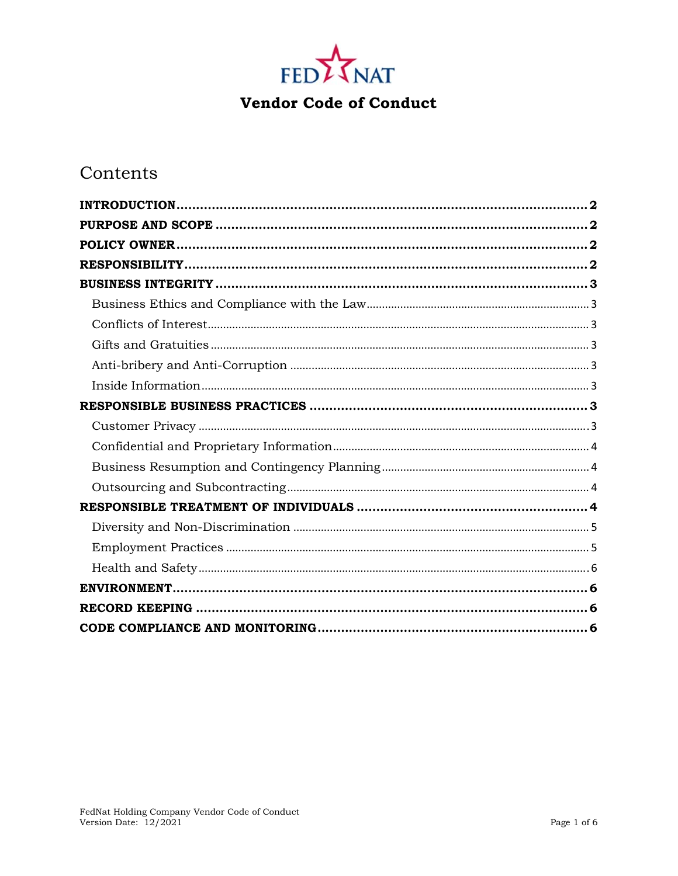

# Contents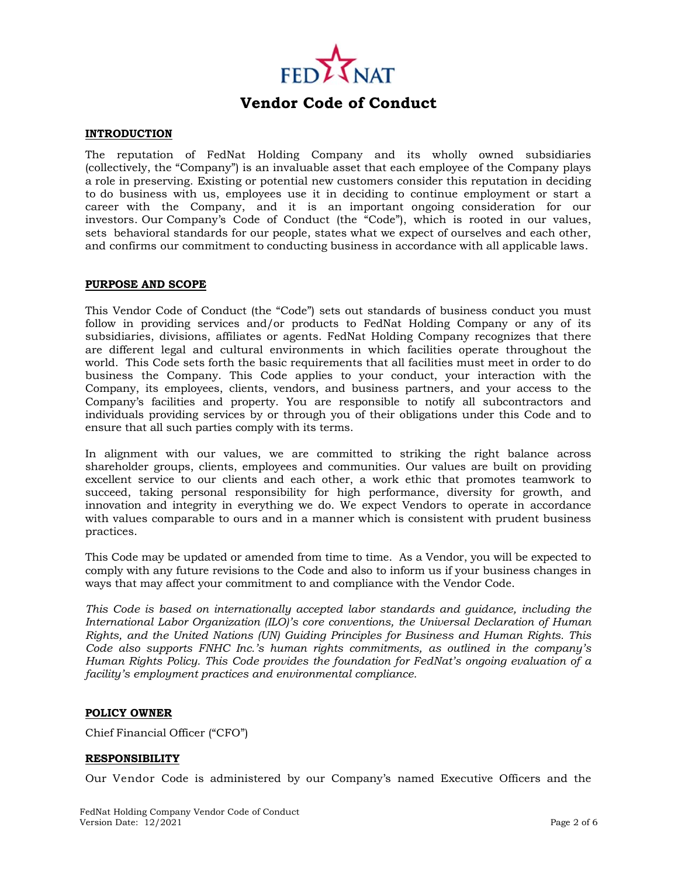

## **INTRODUCTION**

The reputation of FedNat Holding Company and its wholly owned subsidiaries (collectively, the "Company") is an invaluable asset that each employee of the Company plays a role in preserving. Existing or potential new customers consider this reputation in deciding to do business with us, employees use it in deciding to continue employment or start a career with the Company, and it is an important ongoing consideration for our investors. Our Company's Code of Conduct (the "Code"), which is rooted in our values, sets behavioral standards for our people, states what we expect of ourselves and each other, and confirms our commitment to conducting business in accordance with all applicable laws.

## **PURPOSE AND SCOPE**

This Vendor Code of Conduct (the "Code") sets out standards of business conduct you must follow in providing services and/or products to FedNat Holding Company or any of its subsidiaries, divisions, affiliates or agents. FedNat Holding Company recognizes that there are different legal and cultural environments in which facilities operate throughout the world. This Code sets forth the basic requirements that all facilities must meet in order to do business the Company. This Code applies to your conduct, your interaction with the Company, its employees, clients, vendors, and business partners, and your access to the Company's facilities and property. You are responsible to notify all subcontractors and individuals providing services by or through you of their obligations under this Code and to ensure that all such parties comply with its terms.

In alignment with our values, we are committed to striking the right balance across shareholder groups, clients, employees and communities. Our values are built on providing excellent service to our clients and each other, a work ethic that promotes teamwork to succeed, taking personal responsibility for high performance, diversity for growth, and innovation and integrity in everything we do. We expect Vendors to operate in accordance with values comparable to ours and in a manner which is consistent with prudent business practices.

This Code may be updated or amended from time to time. As a Vendor, you will be expected to comply with any future revisions to the Code and also to inform us if your business changes in ways that may affect your commitment to and compliance with the Vendor Code.

*This Code is based on internationally accepted labor standards and guidance, including the International Labor Organization (ILO)'s core conventions, the Universal Declaration of Human Rights, and the United Nations (UN) Guiding Principles for Business and Human Rights. This Code also supports FNHC Inc.'s human rights commitments, as outlined in the company's Human Rights Policy. This Code provides the foundation for FedNat's ongoing evaluation of a facility's employment practices and environmental compliance.* 

## **POLICY OWNER**

Chief Financial Officer ("CFO")

## **RESPONSIBILITY**

Our Vendor Code is administered by our Company's named Executive Officers and the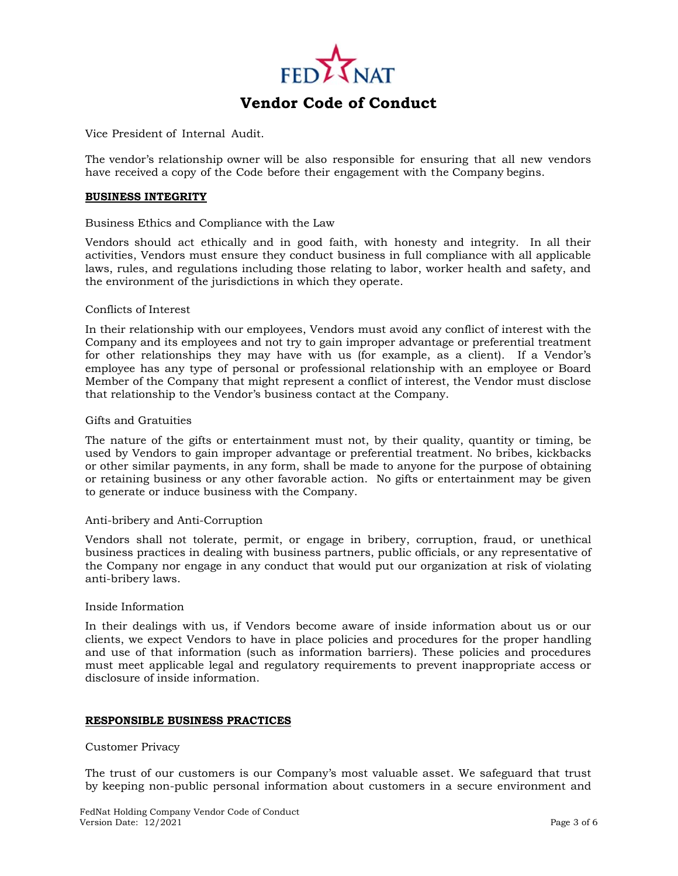

Vice President of Internal Audit.

The vendor's relationship owner will be also responsible for ensuring that all new vendors have received a copy of the Code before their engagement with the Company begins.

### **BUSINESS INTEGRITY**

## Business Ethics and Compliance with the Law

Vendors should act ethically and in good faith, with honesty and integrity. In all their activities, Vendors must ensure they conduct business in full compliance with all applicable laws, rules, and regulations including those relating to labor, worker health and safety, and the environment of the jurisdictions in which they operate.

#### Conflicts of Interest

In their relationship with our employees, Vendors must avoid any conflict of interest with the Company and its employees and not try to gain improper advantage or preferential treatment for other relationships they may have with us (for example, as a client). If a Vendor's employee has any type of personal or professional relationship with an employee or Board Member of the Company that might represent a conflict of interest, the Vendor must disclose that relationship to the Vendor's business contact at the Company.

#### Gifts and Gratuities

The nature of the gifts or entertainment must not, by their quality, quantity or timing, be used by Vendors to gain improper advantage or preferential treatment. No bribes, kickbacks or other similar payments, in any form, shall be made to anyone for the purpose of obtaining or retaining business or any other favorable action. No gifts or entertainment may be given to generate or induce business with the Company.

## Anti-bribery and Anti-Corruption

Vendors shall not tolerate, permit, or engage in bribery, corruption, fraud, or unethical business practices in dealing with business partners, public officials, or any representative of the Company nor engage in any conduct that would put our organization at risk of violating anti-bribery laws.

#### Inside Information

In their dealings with us, if Vendors become aware of inside information about us or our clients, we expect Vendors to have in place policies and procedures for the proper handling and use of that information (such as information barriers). These policies and procedures must meet applicable legal and regulatory requirements to prevent inappropriate access or disclosure of inside information.

## **RESPONSIBLE BUSINESS PRACTICES**

#### Customer Privacy

The trust of our customers is our Company's most valuable asset. We safeguard that trust by keeping non-public personal information about customers in a secure environment and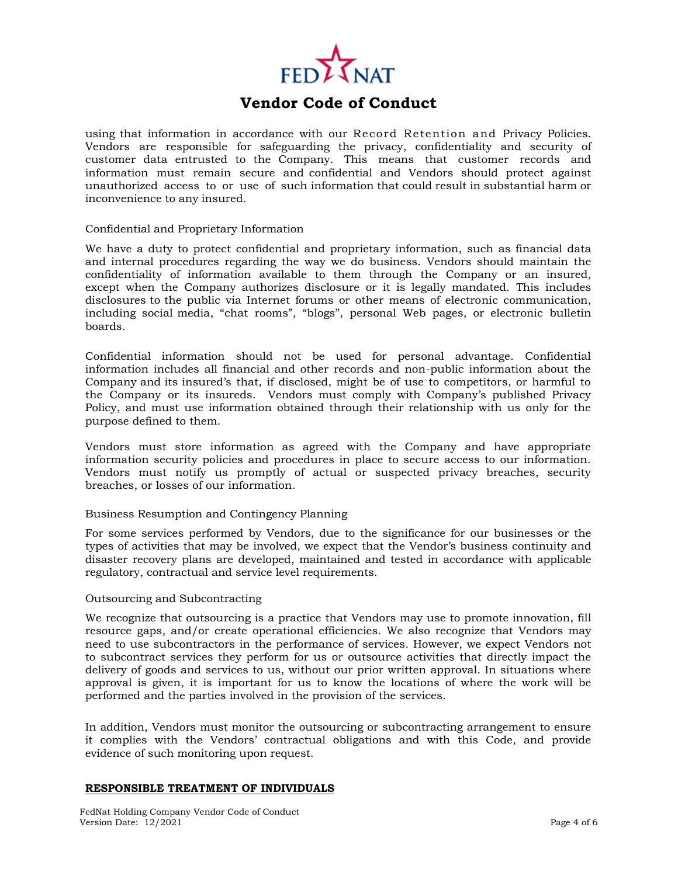

using that information in accordance with our Record Retention and Privacy Policies. Vendors are responsible for safeguarding the privacy, confidentiality and security of customer data entrusted to the Company. This means that customer records and information must remain secure and confidential and Vendors should protect against unauthorized access to or use of such information that could result in substantial harm or inconvenience to any insured.

## Confidential and Proprietary Information

We have a duty to protect confidential and proprietary information, such as financial data and internal procedures regarding the way we do business. Vendors should maintain the confidentiality of information available to them through the Company or an insured, except when the Company authorizes disclosure or it is legally mandated. This includes disclosures to the public via Internet forums or other means of electronic communication, including social media, "chat rooms", "blogs", personal Web pages, or electronic bulletin boards.

Confidential information should not be used for personal advantage. Confidential information includes all financial and other records and non-public information about the Company and its insured's that, if disclosed, might be of use to competitors, or harmful to the Company or its insureds. Vendors must comply with Company's published Privacy Policy, and must use information obtained through their relationship with us only for the purpose defined to them.

Vendors must store information as agreed with the Company and have appropriate information security policies and procedures in place to secure access to our information. Vendors must notify us promptly of actual or suspected privacy breaches, security breaches, or losses of our information.

## Business Resumption and Contingency Planning

For some services performed by Vendors, due to the significance for our businesses or the types of activities that may be involved, we expect that the Vendor's business continuity and disaster recovery plans are developed, maintained and tested in accordance with applicable regulatory, contractual and service level requirements.

## Outsourcing and Subcontracting

We recognize that outsourcing is a practice that Vendors may use to promote innovation, fill resource gaps, and/or create operational efficiencies. We also recognize that Vendors may need to use subcontractors in the performance of services. However, we expect Vendors not to subcontract services they perform for us or outsource activities that directly impact the delivery of goods and services to us, without our prior written approval. In situations where approval is given, it is important for us to know the locations of where the work will be performed and the parties involved in the provision of the services.

In addition, Vendors must monitor the outsourcing or subcontracting arrangement to ensure it complies with the Vendors' contractual obligations and with this Code, and provide evidence of such monitoring upon request.

## **RESPONSIBLE TREATMENT OF INDIVIDUALS**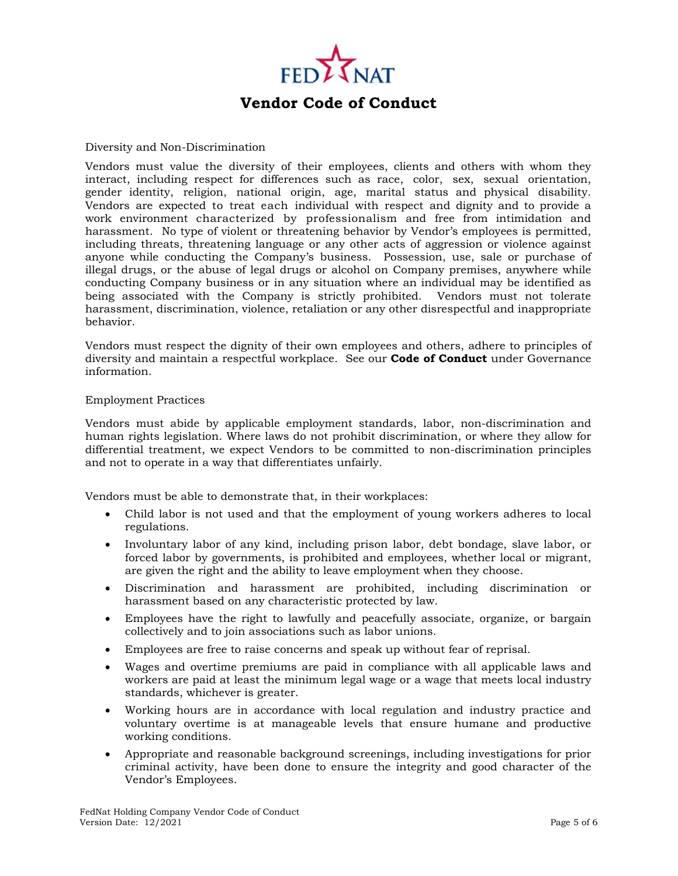

## Diversity and Non-Discrimination

Vendors must value the diversity of their employees, clients and others with whom they interact, including respect for differences such as race, color, sex, sexual orientation, gender identity, religion, national origin, age, marital status and physical disability. Vendors are expected to treat each individual with respect and dignity and to provide a work environment characterized by professionalism and free from intimidation and harassment. No type of violent or threatening behavior by Vendor's employees is permitted, including threats, threatening language or any other acts of aggression or violence against anyone while conducting the Company's business. Possession, use, sale or purchase of illegal drugs, or the abuse of legal drugs or alcohol on Company premises, anywhere while conducting Company business or in any situation where an individual may be identified as being associated with the Company is strictly prohibited. Vendors must not tolerate harassment, discrimination, violence, retaliation or any other disrespectful and inappropriate behavior.

Vendors must respect the dignity of their own employees and others, adhere to principles of diversity and maintain a respectful workplace. See our **Code of Conduct** under Governance information.

## Employment Practices

Vendors must abide by applicable employment standards, labor, non-discrimination and human rights legislation. Where laws do not prohibit discrimination, or where they allow for differential treatment, we expect Vendors to be committed to non-discrimination principles and not to operate in a way that differentiates unfairly.

Vendors must be able to demonstrate that, in their workplaces:

- Child labor is not used and that the employment of young workers adheres to local regulations.
- Involuntary labor of any kind, including prison labor, debt bondage, slave labor, or forced labor by governments, is prohibited and employees, whether local or migrant, are given the right and the ability to leave employment when they choose.
- Discrimination and harassment are prohibited, including discrimination or harassment based on any characteristic protected by law.
- Employees have the right to lawfully and peacefully associate, organize, or bargain collectively and to join associations such as labor unions.
- Employees are free to raise concerns and speak up without fear of reprisal.
- Wages and overtime premiums are paid in compliance with all applicable laws and workers are paid at least the minimum legal wage or a wage that meets local industry standards, whichever is greater.
- Working hours are in accordance with local regulation and industry practice and voluntary overtime is at manageable levels that ensure humane and productive working conditions.
- Appropriate and reasonable background screenings, including investigations for prior criminal activity, have been done to ensure the integrity and good character of the Vendor's Employees.